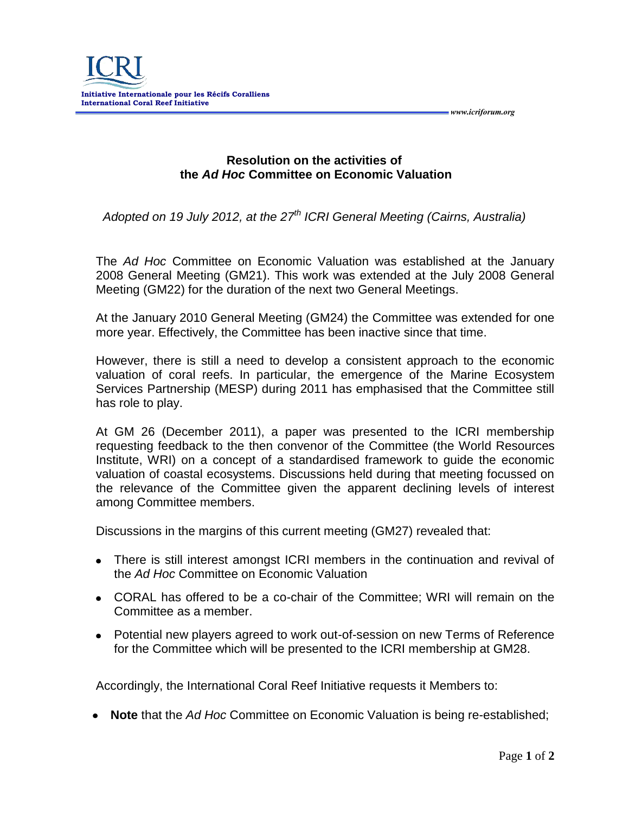

**Resolution on the activities of the** *Ad Hoc* **Committee on Economic Valuation**

*Adopted on 19 July 2012, at the 27 th ICRI General Meeting (Cairns, Australia)*

The *Ad Hoc* Committee on Economic Valuation was established at the January 2008 General Meeting (GM21). This work was extended at the July 2008 General Meeting (GM22) for the duration of the next two General Meetings.

At the January 2010 General Meeting (GM24) the Committee was extended for one more year. Effectively, the Committee has been inactive since that time.

However, there is still a need to develop a consistent approach to the economic valuation of coral reefs. In particular, the emergence of the Marine Ecosystem Services Partnership (MESP) during 2011 has emphasised that the Committee still has role to play.

At GM 26 (December 2011), a paper was presented to the ICRI membership requesting feedback to the then convenor of the Committee (the World Resources Institute, WRI) on a concept of a standardised framework to guide the economic valuation of coastal ecosystems. Discussions held during that meeting focussed on the relevance of the Committee given the apparent declining levels of interest among Committee members.

Discussions in the margins of this current meeting (GM27) revealed that:

- There is still interest amongst ICRI members in the continuation and revival of the *Ad Hoc* Committee on Economic Valuation
- CORAL has offered to be a co-chair of the Committee; WRI will remain on the Committee as a member.
- Potential new players agreed to work out-of-session on new Terms of Reference for the Committee which will be presented to the ICRI membership at GM28.

Accordingly, the International Coral Reef Initiative requests it Members to:

**Note** that the *Ad Hoc* Committee on Economic Valuation is being re-established;

 *www.icriforum.org*